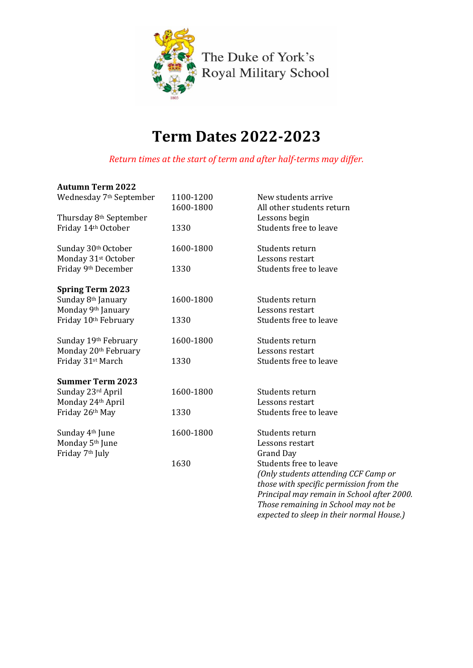

# **Term Dates 2022-2023**

*Return times at the start of term and after half-terms may differ.*

## **Autumn Term 2022**

| Wednesday 7 <sup>th</sup> September | 1100-1200<br>1600-1800 | New students arrive<br>All other students return |
|-------------------------------------|------------------------|--------------------------------------------------|
| Thursday 8th September              |                        | Lessons begin                                    |
| Friday 14th October                 | 1330                   | Students free to leave                           |
| Sunday 30th October                 | 1600-1800              | Students return                                  |
| Monday 31 <sup>st</sup> October     |                        | Lessons restart                                  |
| Friday 9th December                 | 1330                   | Students free to leave                           |
| <b>Spring Term 2023</b>             |                        |                                                  |
| Sunday 8th January                  | 1600-1800              | Students return                                  |
| Monday 9th January                  |                        | Lessons restart                                  |
| Friday 10th February                | 1330                   | Students free to leave                           |
| Sunday 19th February                | 1600-1800              | Students return                                  |
| Monday 20th February                |                        | Lessons restart                                  |
| Friday 31st March                   | 1330                   | Students free to leave                           |
| <b>Summer Term 2023</b>             |                        |                                                  |
| Sunday 23rd April                   | 1600-1800              | Students return                                  |
| Monday 24th April                   |                        | Lessons restart                                  |
| Friday 26th May                     | 1330                   | Students free to leave                           |
| Sunday 4 <sup>th</sup> June         | 1600-1800              | Students return                                  |
| Monday 5 <sup>th</sup> June         |                        | Lessons restart                                  |
| Friday 7 <sup>th</sup> July         |                        | <b>Grand Day</b>                                 |
|                                     | 1630                   | Students free to leave                           |
|                                     |                        | (Only students attending CCF Camp or             |
|                                     |                        | those with specific permission from the          |
|                                     |                        | Principal may remain in School after 2000.       |
|                                     |                        | Those remaining in School may not be             |

*expected to sleep in their normal House.)*